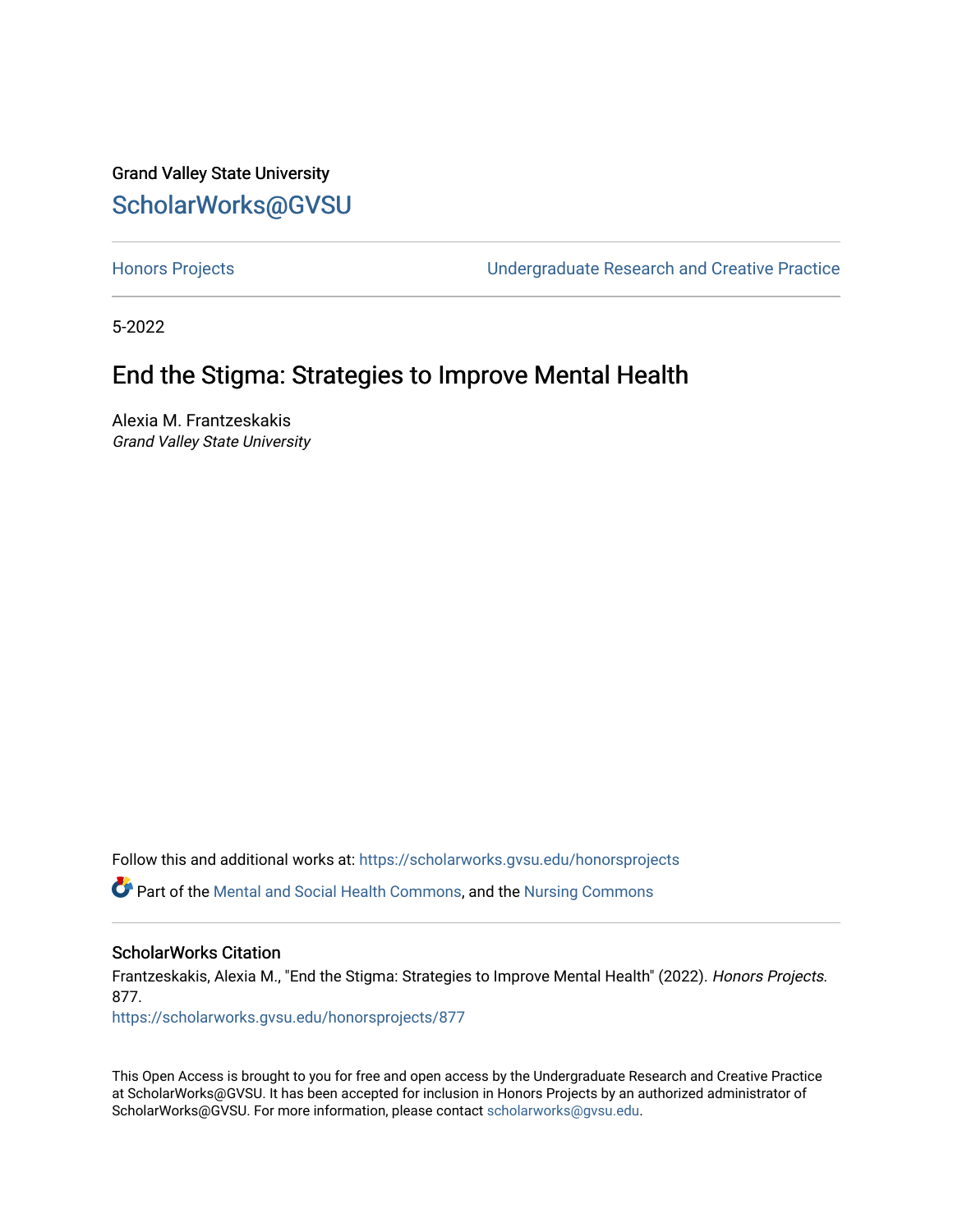# Grand Valley State University [ScholarWorks@GVSU](https://scholarworks.gvsu.edu/)

[Honors Projects](https://scholarworks.gvsu.edu/honorsprojects) [Undergraduate Research and Creative Practice](https://scholarworks.gvsu.edu/urcp) 

5-2022

# End the Stigma: Strategies to Improve Mental Health

Alexia M. Frantzeskakis Grand Valley State University

Follow this and additional works at: [https://scholarworks.gvsu.edu/honorsprojects](https://scholarworks.gvsu.edu/honorsprojects?utm_source=scholarworks.gvsu.edu%2Fhonorsprojects%2F877&utm_medium=PDF&utm_campaign=PDFCoverPages) 

Part of the [Mental and Social Health Commons,](http://network.bepress.com/hgg/discipline/709?utm_source=scholarworks.gvsu.edu%2Fhonorsprojects%2F877&utm_medium=PDF&utm_campaign=PDFCoverPages) and the [Nursing Commons](http://network.bepress.com/hgg/discipline/718?utm_source=scholarworks.gvsu.edu%2Fhonorsprojects%2F877&utm_medium=PDF&utm_campaign=PDFCoverPages)

#### ScholarWorks Citation

Frantzeskakis, Alexia M., "End the Stigma: Strategies to Improve Mental Health" (2022). Honors Projects. 877.

[https://scholarworks.gvsu.edu/honorsprojects/877](https://scholarworks.gvsu.edu/honorsprojects/877?utm_source=scholarworks.gvsu.edu%2Fhonorsprojects%2F877&utm_medium=PDF&utm_campaign=PDFCoverPages) 

This Open Access is brought to you for free and open access by the Undergraduate Research and Creative Practice at ScholarWorks@GVSU. It has been accepted for inclusion in Honors Projects by an authorized administrator of ScholarWorks@GVSU. For more information, please contact [scholarworks@gvsu.edu](mailto:scholarworks@gvsu.edu).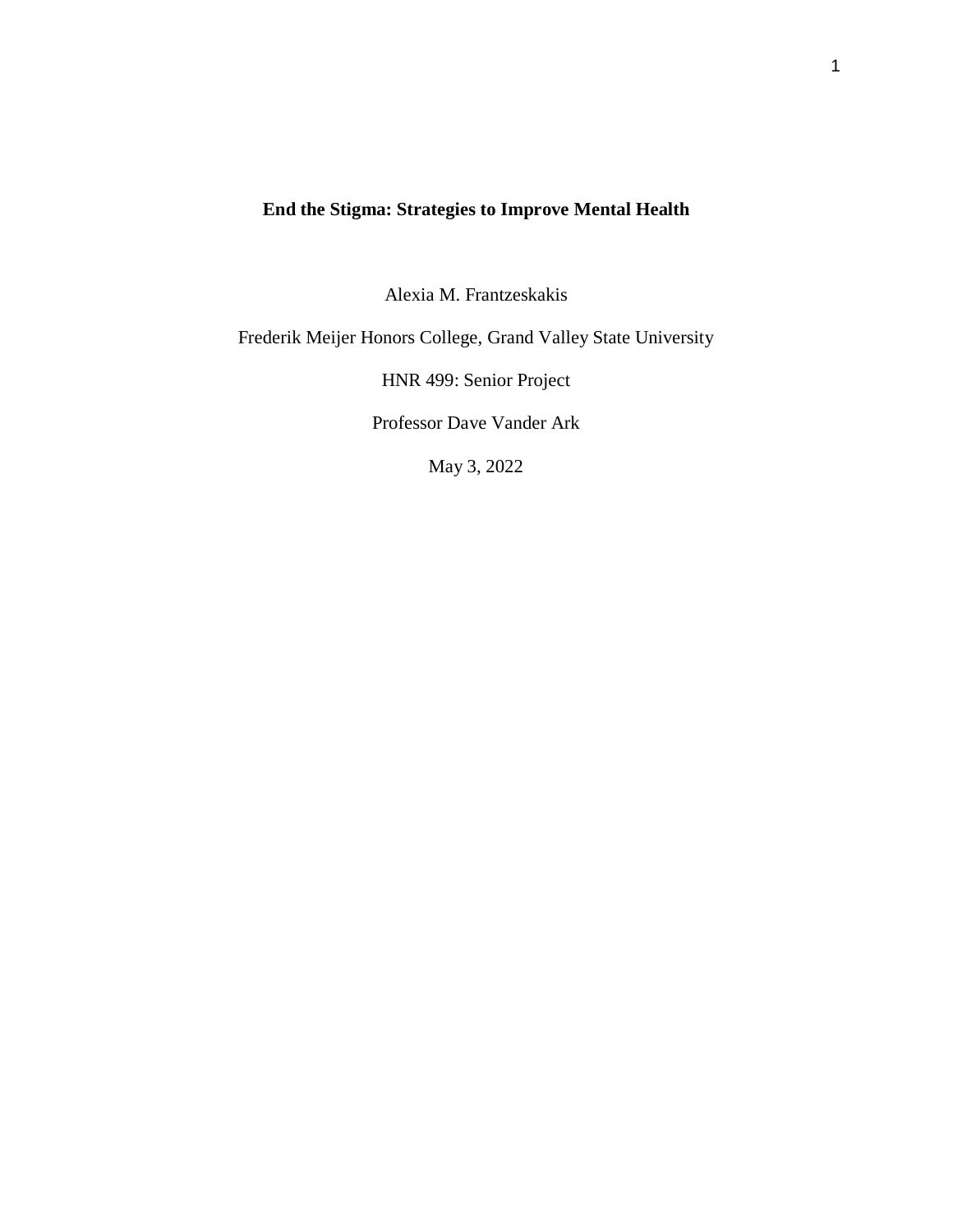## **End the Stigma: Strategies to Improve Mental Health**

Alexia M. Frantzeskakis

Frederik Meijer Honors College, Grand Valley State University

HNR 499: Senior Project

Professor Dave Vander Ark

May 3, 2022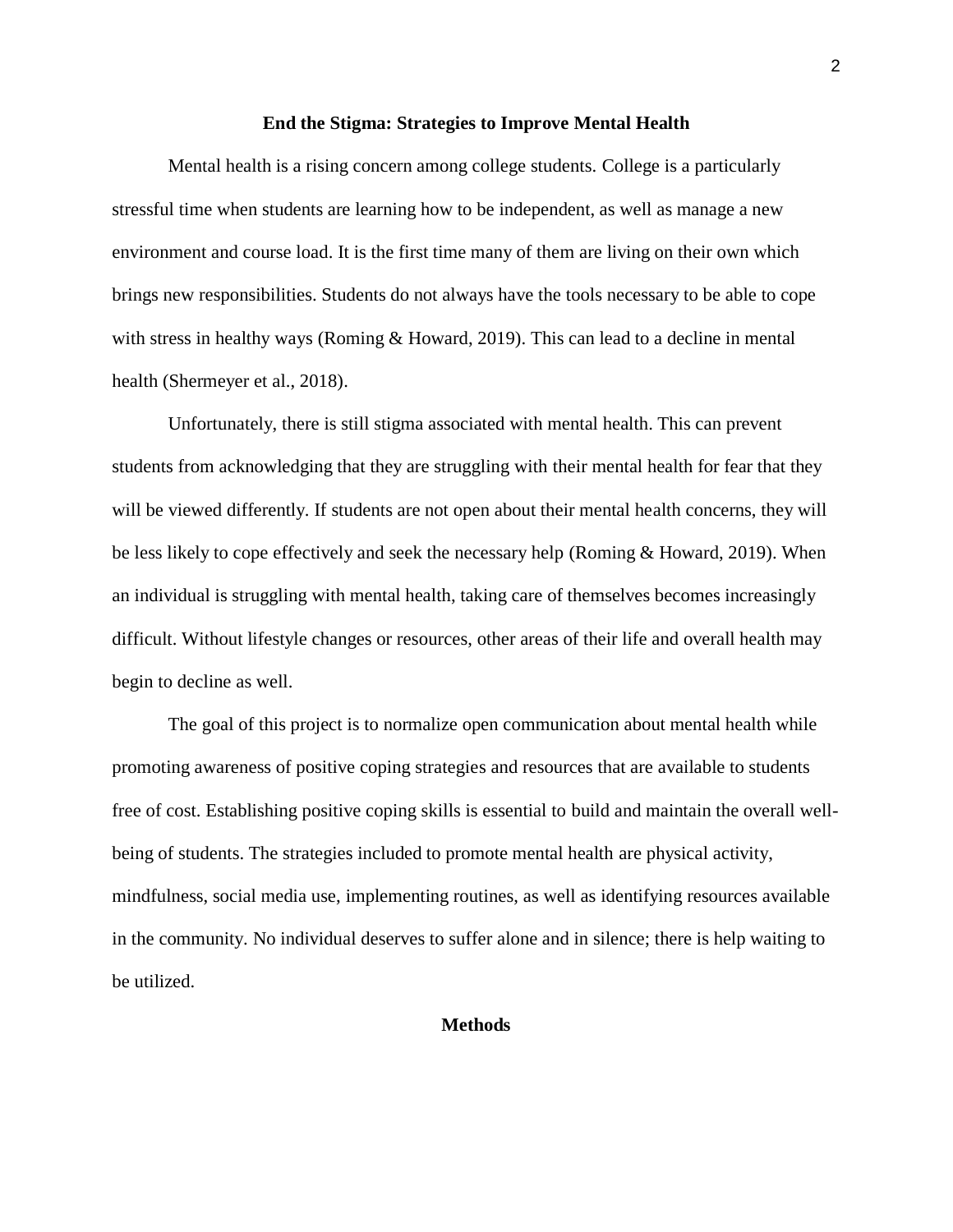#### **End the Stigma: Strategies to Improve Mental Health**

Mental health is a rising concern among college students. College is a particularly stressful time when students are learning how to be independent, as well as manage a new environment and course load. It is the first time many of them are living on their own which brings new responsibilities. Students do not always have the tools necessary to be able to cope with stress in healthy ways (Roming & Howard, 2019). This can lead to a decline in mental health (Shermeyer et al., 2018).

Unfortunately, there is still stigma associated with mental health. This can prevent students from acknowledging that they are struggling with their mental health for fear that they will be viewed differently. If students are not open about their mental health concerns, they will be less likely to cope effectively and seek the necessary help (Roming & Howard, 2019). When an individual is struggling with mental health, taking care of themselves becomes increasingly difficult. Without lifestyle changes or resources, other areas of their life and overall health may begin to decline as well.

The goal of this project is to normalize open communication about mental health while promoting awareness of positive coping strategies and resources that are available to students free of cost. Establishing positive coping skills is essential to build and maintain the overall wellbeing of students. The strategies included to promote mental health are physical activity, mindfulness, social media use, implementing routines, as well as identifying resources available in the community. No individual deserves to suffer alone and in silence; there is help waiting to be utilized.

#### **Methods**

2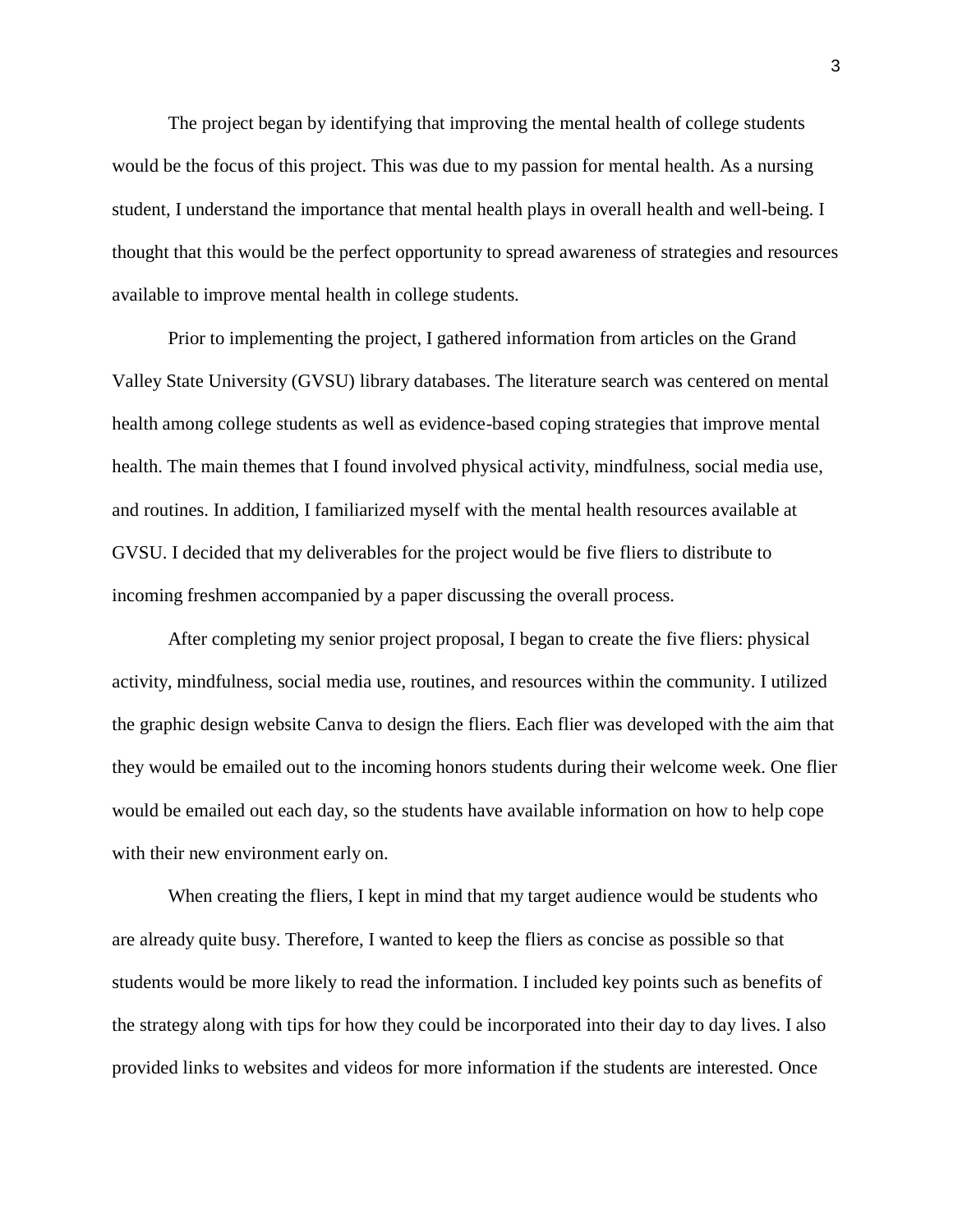The project began by identifying that improving the mental health of college students would be the focus of this project. This was due to my passion for mental health. As a nursing student, I understand the importance that mental health plays in overall health and well-being. I thought that this would be the perfect opportunity to spread awareness of strategies and resources available to improve mental health in college students.

Prior to implementing the project, I gathered information from articles on the Grand Valley State University (GVSU) library databases. The literature search was centered on mental health among college students as well as evidence-based coping strategies that improve mental health. The main themes that I found involved physical activity, mindfulness, social media use, and routines. In addition, I familiarized myself with the mental health resources available at GVSU. I decided that my deliverables for the project would be five fliers to distribute to incoming freshmen accompanied by a paper discussing the overall process.

After completing my senior project proposal, I began to create the five fliers: physical activity, mindfulness, social media use, routines, and resources within the community. I utilized the graphic design website Canva to design the fliers. Each flier was developed with the aim that they would be emailed out to the incoming honors students during their welcome week. One flier would be emailed out each day, so the students have available information on how to help cope with their new environment early on.

When creating the fliers, I kept in mind that my target audience would be students who are already quite busy. Therefore, I wanted to keep the fliers as concise as possible so that students would be more likely to read the information. I included key points such as benefits of the strategy along with tips for how they could be incorporated into their day to day lives. I also provided links to websites and videos for more information if the students are interested. Once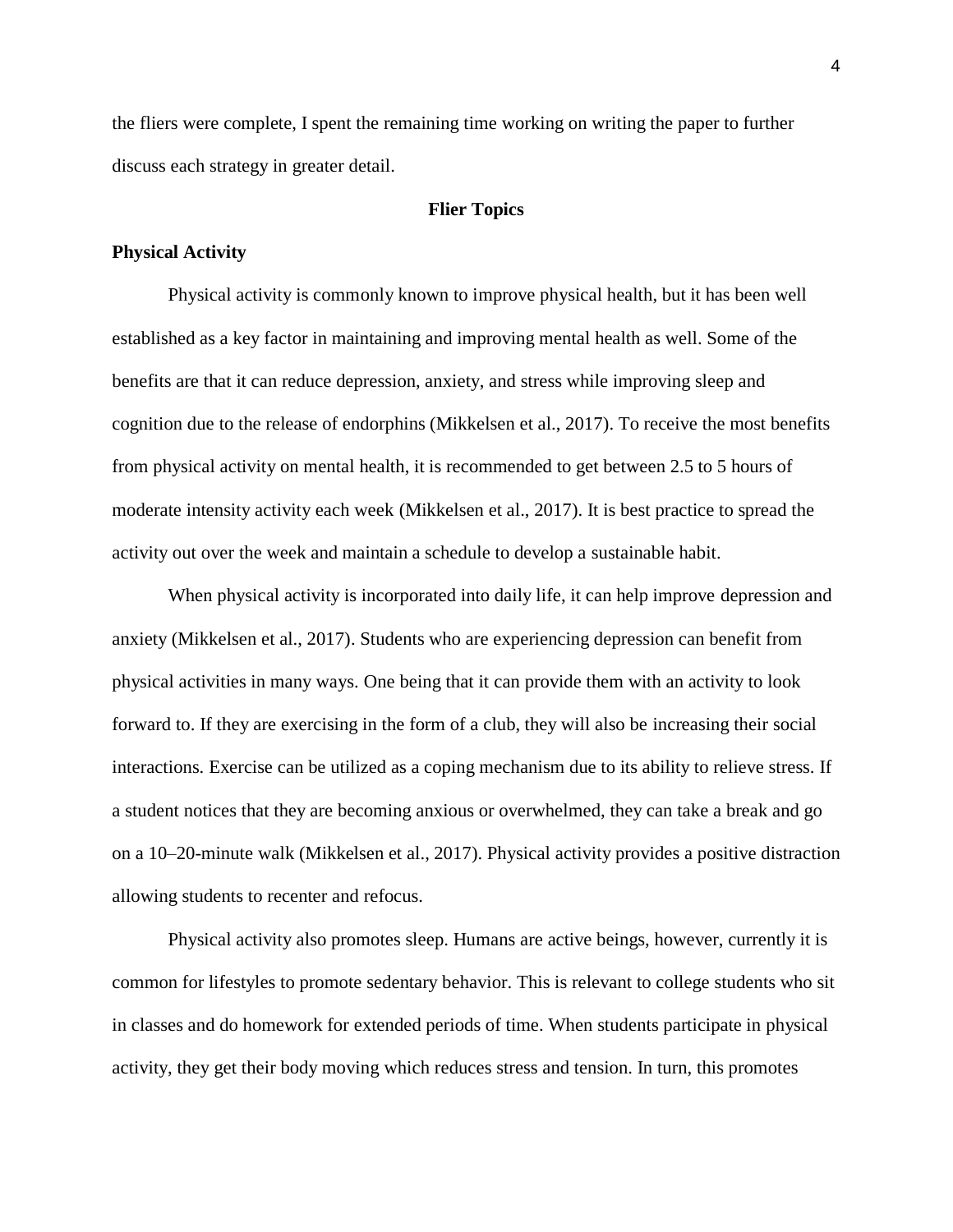the fliers were complete, I spent the remaining time working on writing the paper to further discuss each strategy in greater detail.

### **Flier Topics**

#### **Physical Activity**

Physical activity is commonly known to improve physical health, but it has been well established as a key factor in maintaining and improving mental health as well. Some of the benefits are that it can reduce depression, anxiety, and stress while improving sleep and cognition due to the release of endorphins (Mikkelsen et al., 2017). To receive the most benefits from physical activity on mental health, it is recommended to get between 2.5 to 5 hours of moderate intensity activity each week (Mikkelsen et al., 2017). It is best practice to spread the activity out over the week and maintain a schedule to develop a sustainable habit.

When physical activity is incorporated into daily life, it can help improve depression and anxiety (Mikkelsen et al., 2017). Students who are experiencing depression can benefit from physical activities in many ways. One being that it can provide them with an activity to look forward to. If they are exercising in the form of a club, they will also be increasing their social interactions. Exercise can be utilized as a coping mechanism due to its ability to relieve stress. If a student notices that they are becoming anxious or overwhelmed, they can take a break and go on a 10–20-minute walk (Mikkelsen et al., 2017). Physical activity provides a positive distraction allowing students to recenter and refocus.

Physical activity also promotes sleep. Humans are active beings, however, currently it is common for lifestyles to promote sedentary behavior. This is relevant to college students who sit in classes and do homework for extended periods of time. When students participate in physical activity, they get their body moving which reduces stress and tension. In turn, this promotes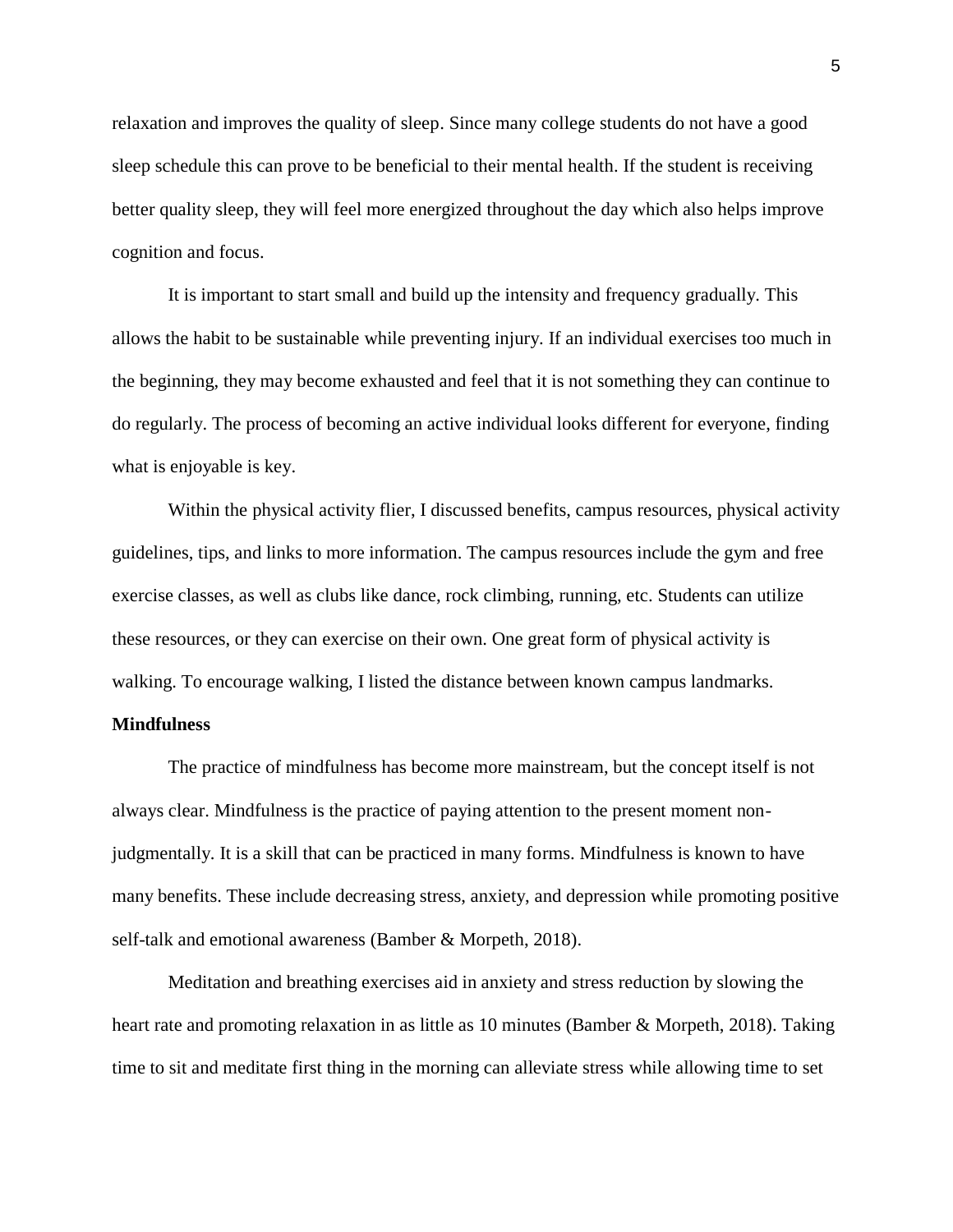relaxation and improves the quality of sleep. Since many college students do not have a good sleep schedule this can prove to be beneficial to their mental health. If the student is receiving better quality sleep, they will feel more energized throughout the day which also helps improve cognition and focus.

It is important to start small and build up the intensity and frequency gradually. This allows the habit to be sustainable while preventing injury. If an individual exercises too much in the beginning, they may become exhausted and feel that it is not something they can continue to do regularly. The process of becoming an active individual looks different for everyone, finding what is enjoyable is key.

Within the physical activity flier, I discussed benefits, campus resources, physical activity guidelines, tips, and links to more information. The campus resources include the gym and free exercise classes, as well as clubs like dance, rock climbing, running, etc. Students can utilize these resources, or they can exercise on their own. One great form of physical activity is walking. To encourage walking, I listed the distance between known campus landmarks.

### **Mindfulness**

The practice of mindfulness has become more mainstream, but the concept itself is not always clear. Mindfulness is the practice of paying attention to the present moment nonjudgmentally. It is a skill that can be practiced in many forms. Mindfulness is known to have many benefits. These include decreasing stress, anxiety, and depression while promoting positive self-talk and emotional awareness (Bamber & Morpeth, 2018).

Meditation and breathing exercises aid in anxiety and stress reduction by slowing the heart rate and promoting relaxation in as little as 10 minutes (Bamber & Morpeth, 2018). Taking time to sit and meditate first thing in the morning can alleviate stress while allowing time to set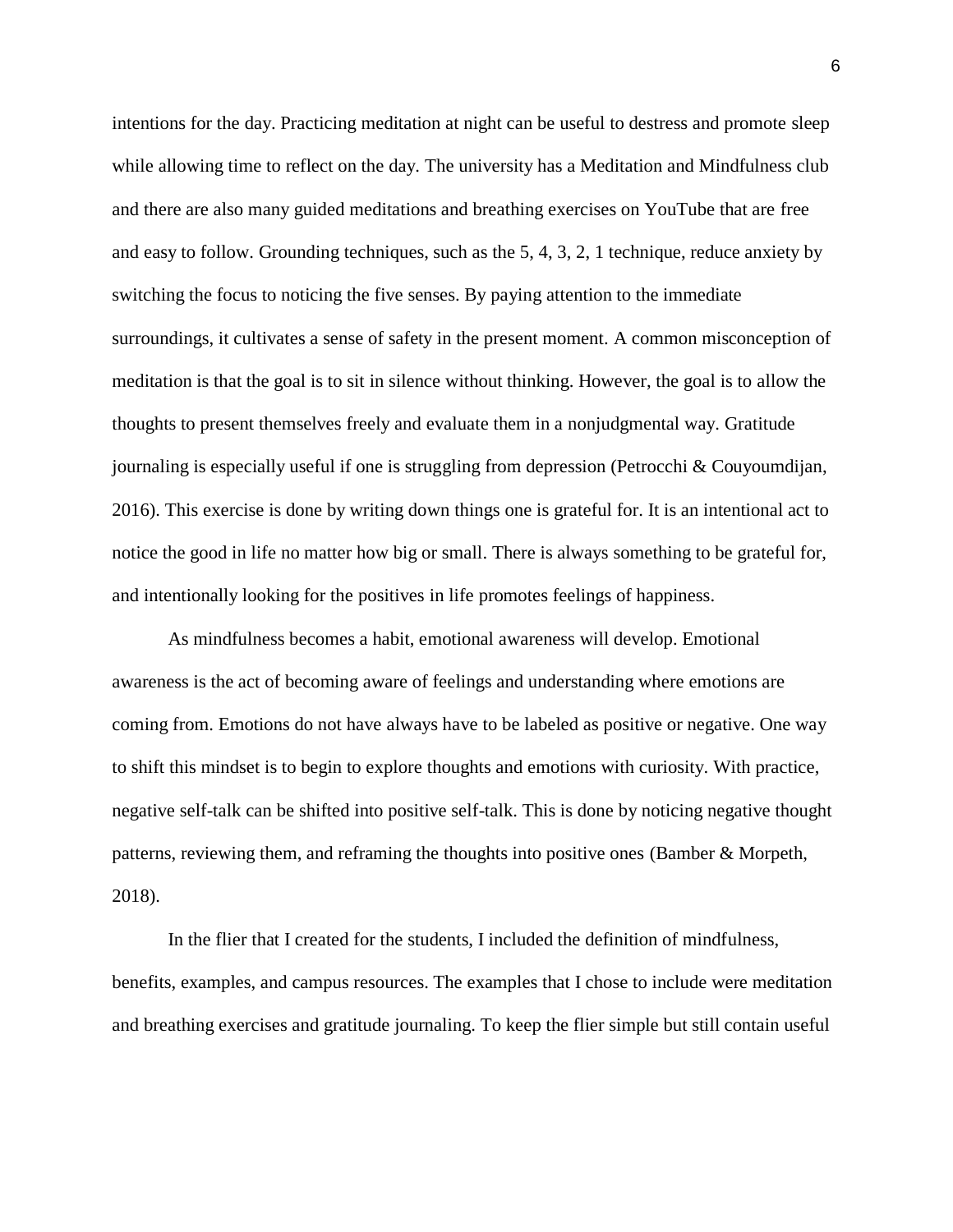intentions for the day. Practicing meditation at night can be useful to destress and promote sleep while allowing time to reflect on the day. The university has a Meditation and Mindfulness club and there are also many guided meditations and breathing exercises on YouTube that are free and easy to follow. Grounding techniques, such as the 5, 4, 3, 2, 1 technique, reduce anxiety by switching the focus to noticing the five senses. By paying attention to the immediate surroundings, it cultivates a sense of safety in the present moment. A common misconception of meditation is that the goal is to sit in silence without thinking. However, the goal is to allow the thoughts to present themselves freely and evaluate them in a nonjudgmental way. Gratitude journaling is especially useful if one is struggling from depression (Petrocchi & Couyoumdijan, 2016). This exercise is done by writing down things one is grateful for. It is an intentional act to notice the good in life no matter how big or small. There is always something to be grateful for, and intentionally looking for the positives in life promotes feelings of happiness.

As mindfulness becomes a habit, emotional awareness will develop. Emotional awareness is the act of becoming aware of feelings and understanding where emotions are coming from. Emotions do not have always have to be labeled as positive or negative. One way to shift this mindset is to begin to explore thoughts and emotions with curiosity. With practice, negative self-talk can be shifted into positive self-talk. This is done by noticing negative thought patterns, reviewing them, and reframing the thoughts into positive ones (Bamber & Morpeth, 2018).

In the flier that I created for the students, I included the definition of mindfulness, benefits, examples, and campus resources. The examples that I chose to include were meditation and breathing exercises and gratitude journaling. To keep the flier simple but still contain useful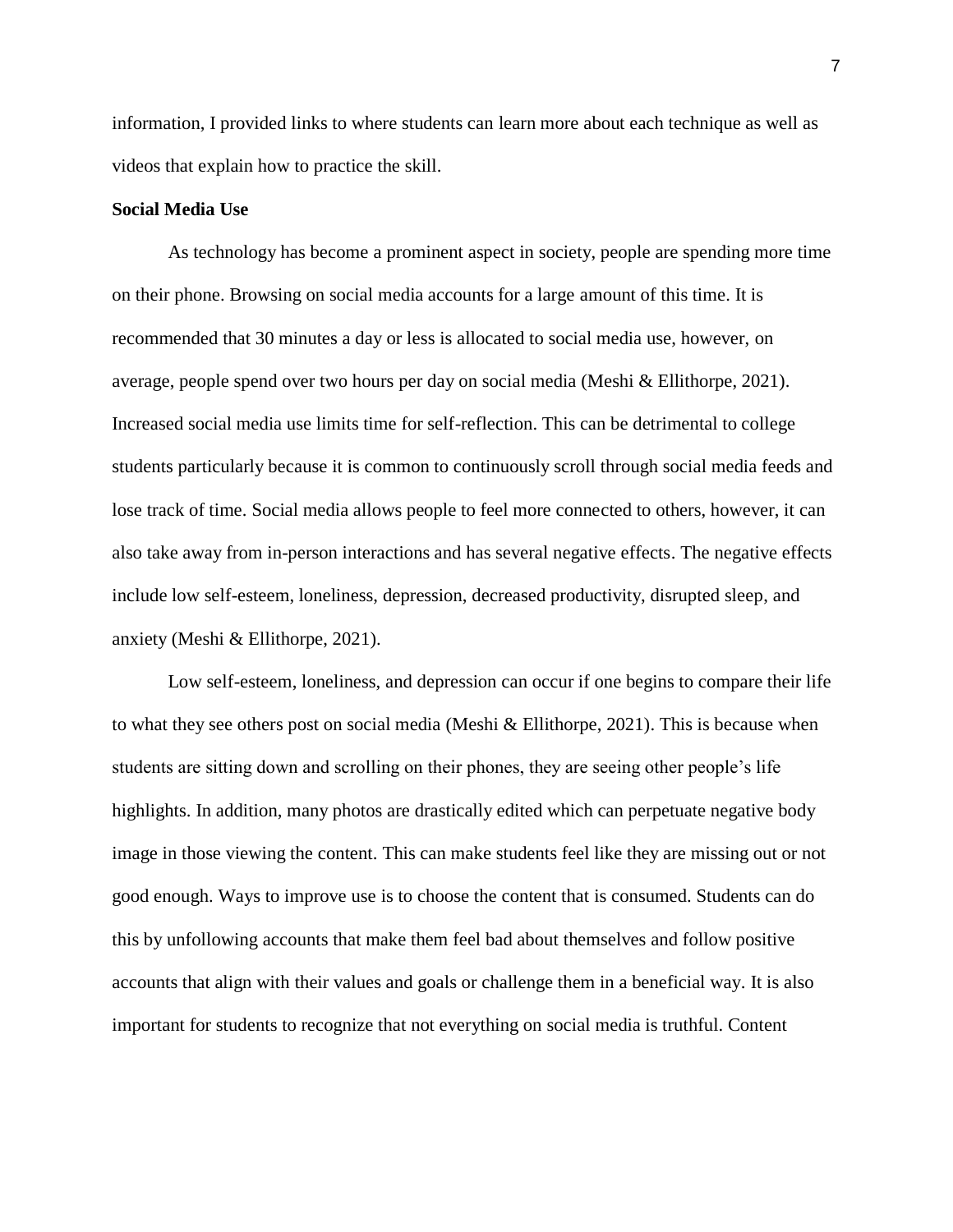information, I provided links to where students can learn more about each technique as well as videos that explain how to practice the skill.

### **Social Media Use**

As technology has become a prominent aspect in society, people are spending more time on their phone. Browsing on social media accounts for a large amount of this time. It is recommended that 30 minutes a day or less is allocated to social media use, however, on average, people spend over two hours per day on social media (Meshi & Ellithorpe, 2021). Increased social media use limits time for self-reflection. This can be detrimental to college students particularly because it is common to continuously scroll through social media feeds and lose track of time. Social media allows people to feel more connected to others, however, it can also take away from in-person interactions and has several negative effects. The negative effects include low self-esteem, loneliness, depression, decreased productivity, disrupted sleep, and anxiety (Meshi & Ellithorpe, 2021).

Low self-esteem, loneliness, and depression can occur if one begins to compare their life to what they see others post on social media (Meshi  $\&$  Ellithorpe, 2021). This is because when students are sitting down and scrolling on their phones, they are seeing other people's life highlights. In addition, many photos are drastically edited which can perpetuate negative body image in those viewing the content. This can make students feel like they are missing out or not good enough. Ways to improve use is to choose the content that is consumed. Students can do this by unfollowing accounts that make them feel bad about themselves and follow positive accounts that align with their values and goals or challenge them in a beneficial way. It is also important for students to recognize that not everything on social media is truthful. Content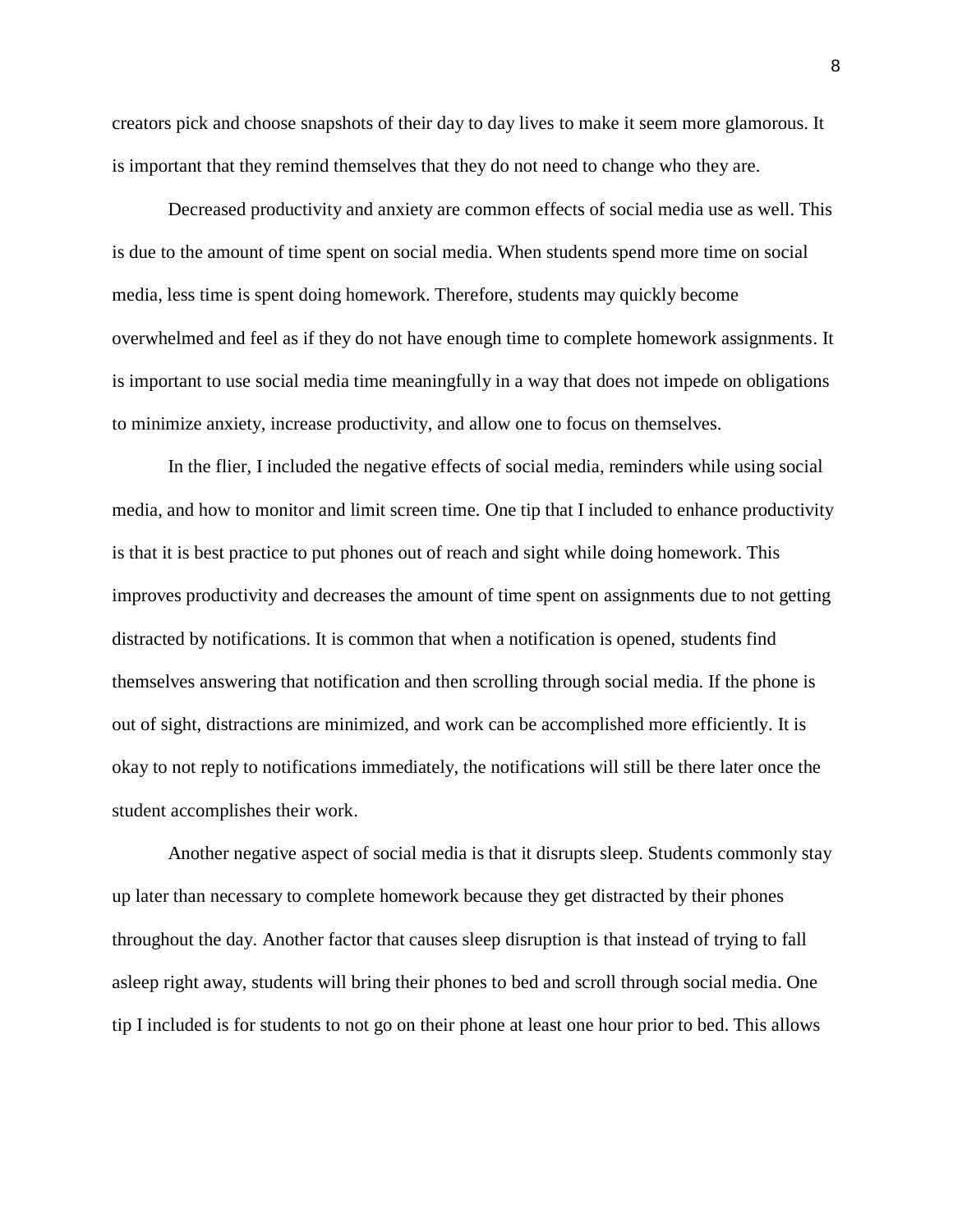creators pick and choose snapshots of their day to day lives to make it seem more glamorous. It is important that they remind themselves that they do not need to change who they are.

Decreased productivity and anxiety are common effects of social media use as well. This is due to the amount of time spent on social media. When students spend more time on social media, less time is spent doing homework. Therefore, students may quickly become overwhelmed and feel as if they do not have enough time to complete homework assignments. It is important to use social media time meaningfully in a way that does not impede on obligations to minimize anxiety, increase productivity, and allow one to focus on themselves.

In the flier, I included the negative effects of social media, reminders while using social media, and how to monitor and limit screen time. One tip that I included to enhance productivity is that it is best practice to put phones out of reach and sight while doing homework. This improves productivity and decreases the amount of time spent on assignments due to not getting distracted by notifications. It is common that when a notification is opened, students find themselves answering that notification and then scrolling through social media. If the phone is out of sight, distractions are minimized, and work can be accomplished more efficiently. It is okay to not reply to notifications immediately, the notifications will still be there later once the student accomplishes their work.

Another negative aspect of social media is that it disrupts sleep. Students commonly stay up later than necessary to complete homework because they get distracted by their phones throughout the day. Another factor that causes sleep disruption is that instead of trying to fall asleep right away, students will bring their phones to bed and scroll through social media. One tip I included is for students to not go on their phone at least one hour prior to bed. This allows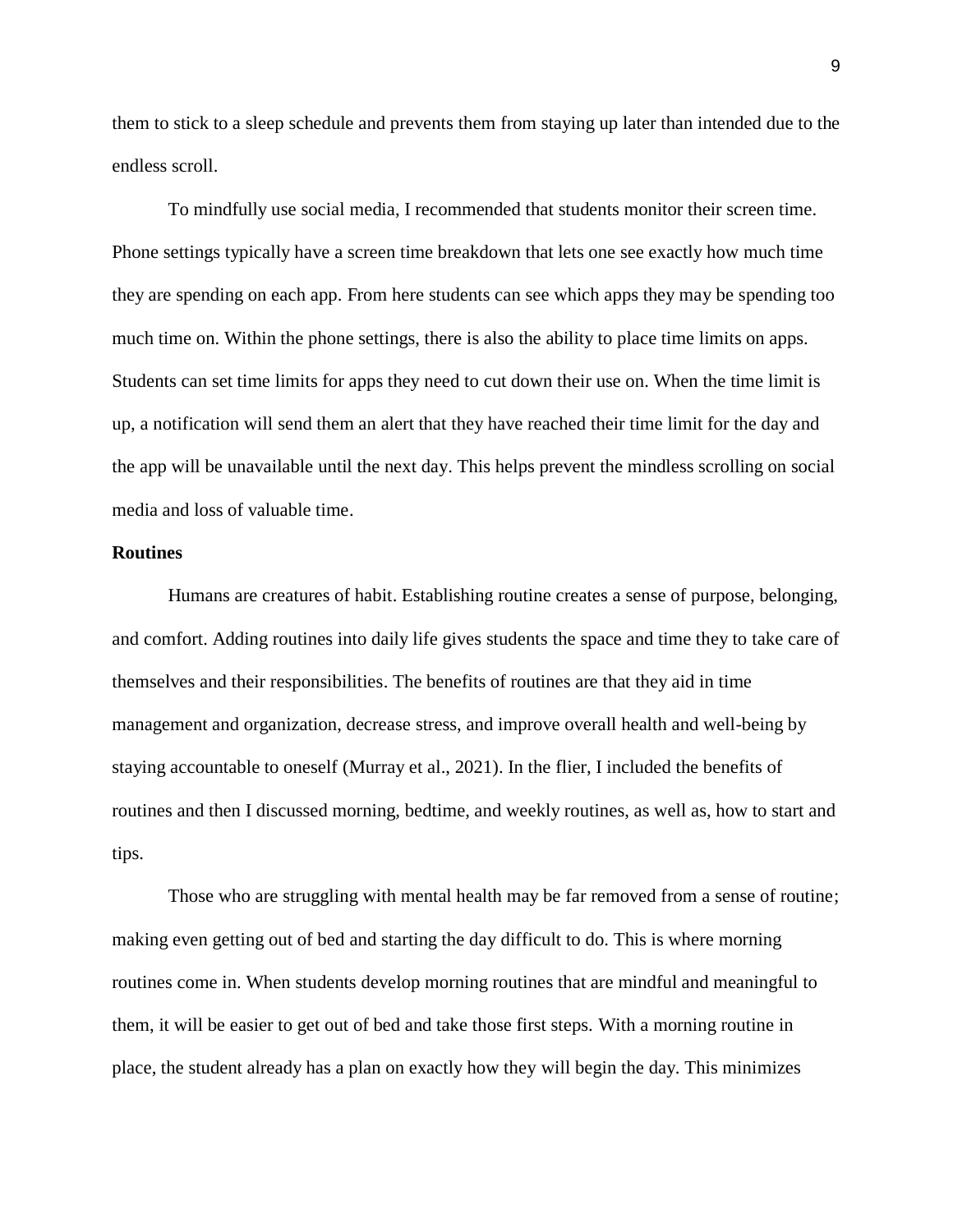them to stick to a sleep schedule and prevents them from staying up later than intended due to the endless scroll.

To mindfully use social media, I recommended that students monitor their screen time. Phone settings typically have a screen time breakdown that lets one see exactly how much time they are spending on each app. From here students can see which apps they may be spending too much time on. Within the phone settings, there is also the ability to place time limits on apps. Students can set time limits for apps they need to cut down their use on. When the time limit is up, a notification will send them an alert that they have reached their time limit for the day and the app will be unavailable until the next day. This helps prevent the mindless scrolling on social media and loss of valuable time.

#### **Routines**

Humans are creatures of habit. Establishing routine creates a sense of purpose, belonging, and comfort. Adding routines into daily life gives students the space and time they to take care of themselves and their responsibilities. The benefits of routines are that they aid in time management and organization, decrease stress, and improve overall health and well-being by staying accountable to oneself (Murray et al., 2021). In the flier, I included the benefits of routines and then I discussed morning, bedtime, and weekly routines, as well as, how to start and tips.

Those who are struggling with mental health may be far removed from a sense of routine; making even getting out of bed and starting the day difficult to do. This is where morning routines come in. When students develop morning routines that are mindful and meaningful to them, it will be easier to get out of bed and take those first steps. With a morning routine in place, the student already has a plan on exactly how they will begin the day. This minimizes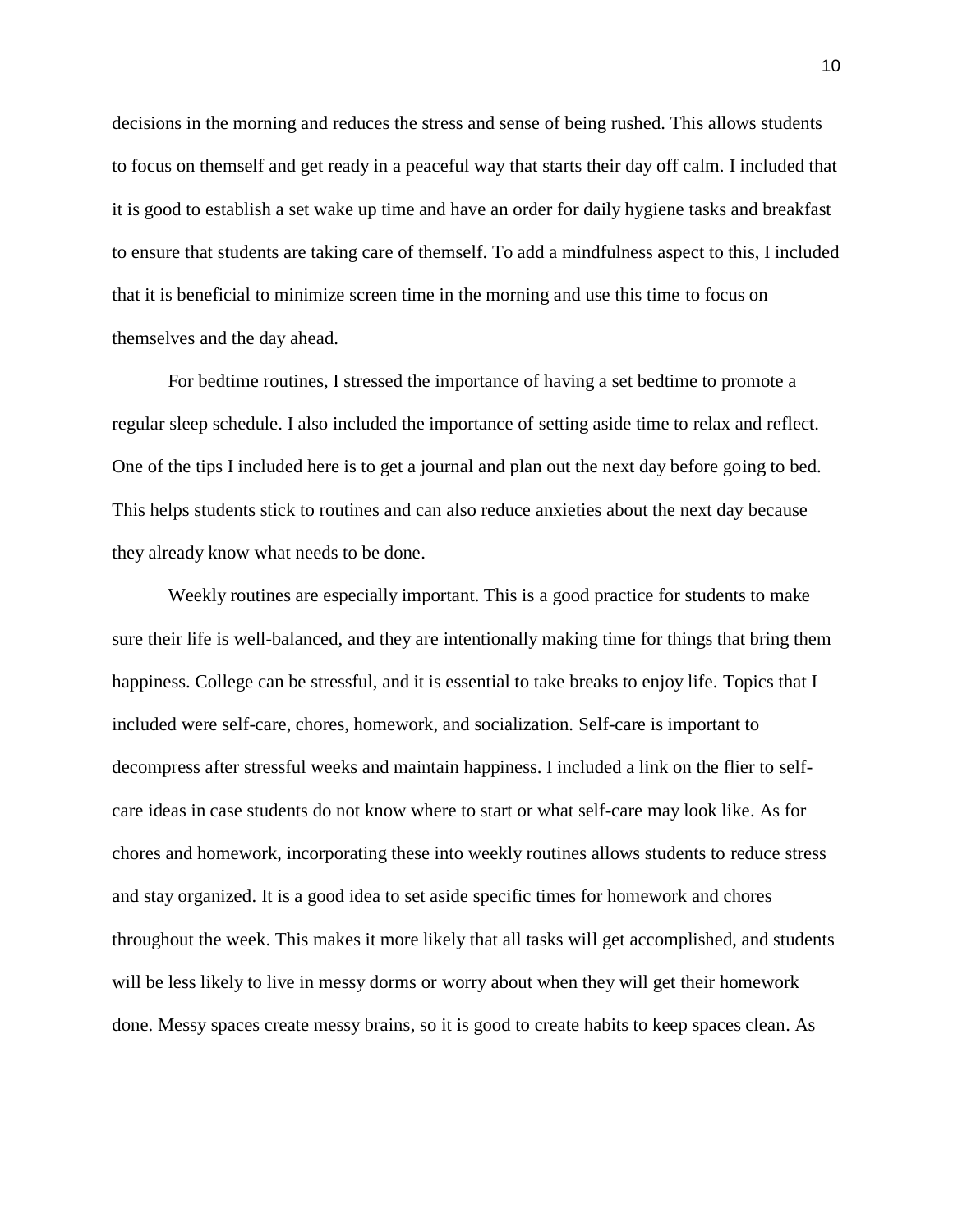decisions in the morning and reduces the stress and sense of being rushed. This allows students to focus on themself and get ready in a peaceful way that starts their day off calm. I included that it is good to establish a set wake up time and have an order for daily hygiene tasks and breakfast to ensure that students are taking care of themself. To add a mindfulness aspect to this, I included that it is beneficial to minimize screen time in the morning and use this time to focus on themselves and the day ahead.

For bedtime routines, I stressed the importance of having a set bedtime to promote a regular sleep schedule. I also included the importance of setting aside time to relax and reflect. One of the tips I included here is to get a journal and plan out the next day before going to bed. This helps students stick to routines and can also reduce anxieties about the next day because they already know what needs to be done.

Weekly routines are especially important. This is a good practice for students to make sure their life is well-balanced, and they are intentionally making time for things that bring them happiness. College can be stressful, and it is essential to take breaks to enjoy life. Topics that I included were self-care, chores, homework, and socialization. Self-care is important to decompress after stressful weeks and maintain happiness. I included a link on the flier to selfcare ideas in case students do not know where to start or what self-care may look like. As for chores and homework, incorporating these into weekly routines allows students to reduce stress and stay organized. It is a good idea to set aside specific times for homework and chores throughout the week. This makes it more likely that all tasks will get accomplished, and students will be less likely to live in messy dorms or worry about when they will get their homework done. Messy spaces create messy brains, so it is good to create habits to keep spaces clean. As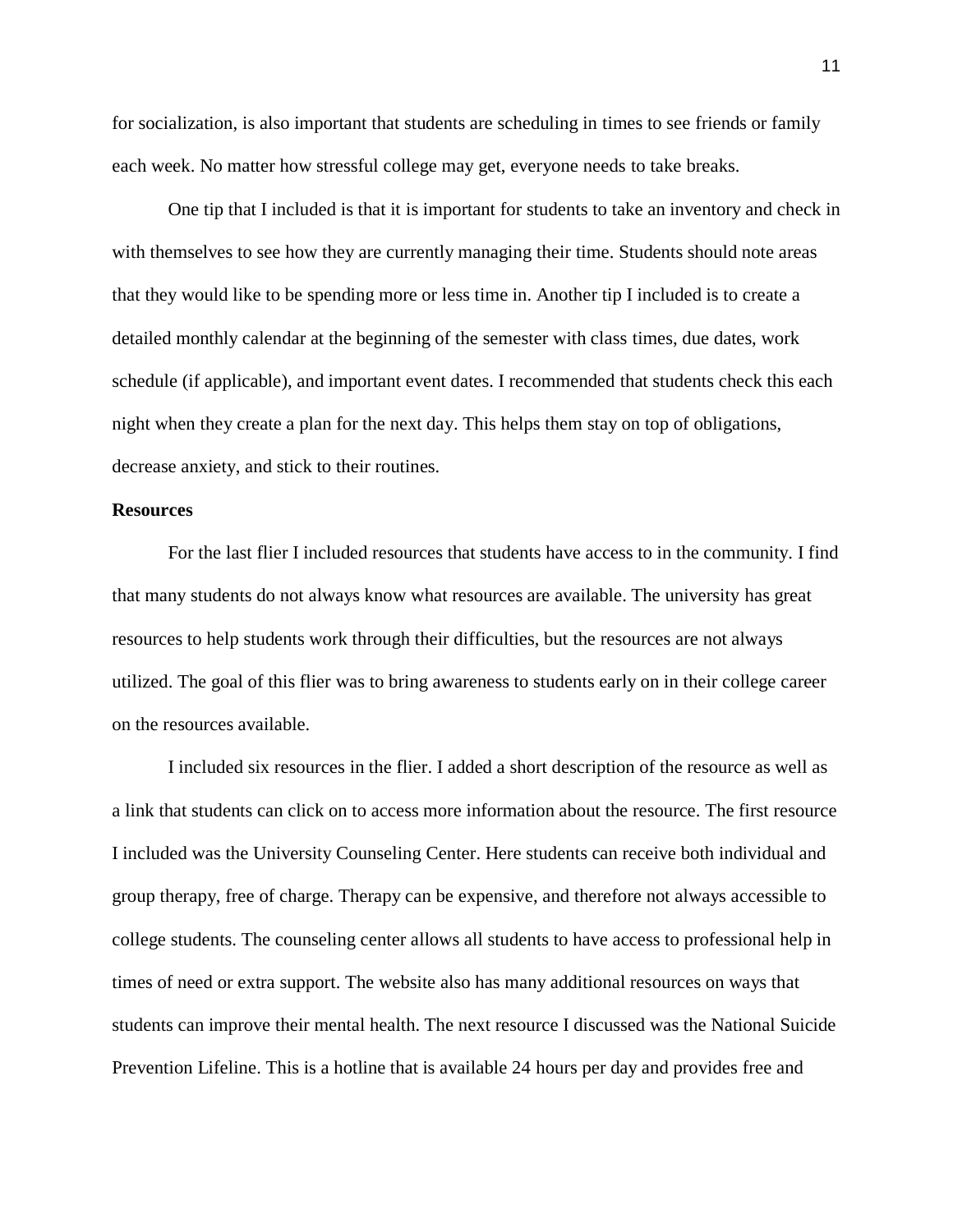for socialization, is also important that students are scheduling in times to see friends or family each week. No matter how stressful college may get, everyone needs to take breaks.

One tip that I included is that it is important for students to take an inventory and check in with themselves to see how they are currently managing their time. Students should note areas that they would like to be spending more or less time in. Another tip I included is to create a detailed monthly calendar at the beginning of the semester with class times, due dates, work schedule (if applicable), and important event dates. I recommended that students check this each night when they create a plan for the next day. This helps them stay on top of obligations, decrease anxiety, and stick to their routines.

#### **Resources**

For the last flier I included resources that students have access to in the community. I find that many students do not always know what resources are available. The university has great resources to help students work through their difficulties, but the resources are not always utilized. The goal of this flier was to bring awareness to students early on in their college career on the resources available.

I included six resources in the flier. I added a short description of the resource as well as a link that students can click on to access more information about the resource. The first resource I included was the University Counseling Center. Here students can receive both individual and group therapy, free of charge. Therapy can be expensive, and therefore not always accessible to college students. The counseling center allows all students to have access to professional help in times of need or extra support. The website also has many additional resources on ways that students can improve their mental health. The next resource I discussed was the National Suicide Prevention Lifeline. This is a hotline that is available 24 hours per day and provides free and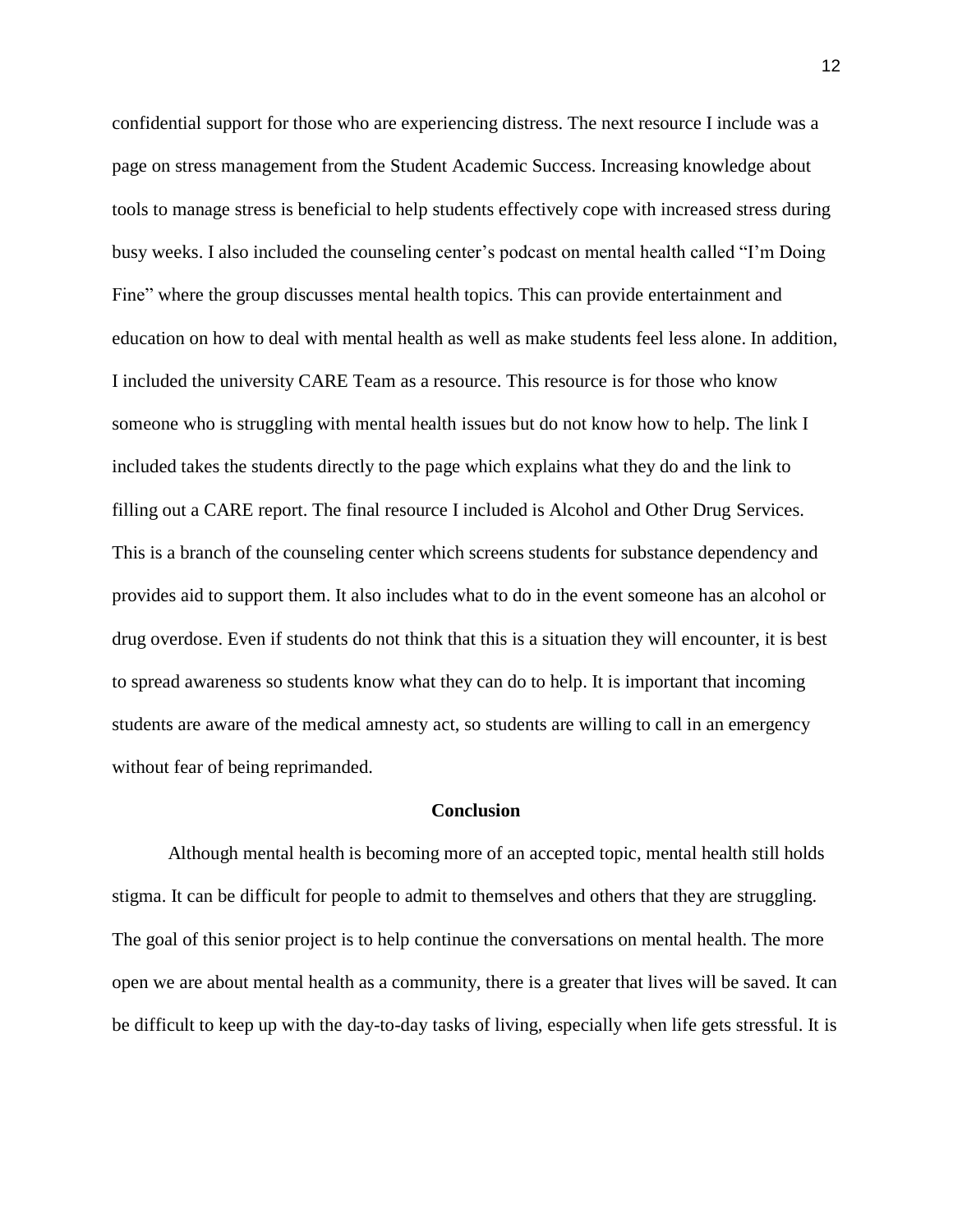confidential support for those who are experiencing distress. The next resource I include was a page on stress management from the Student Academic Success. Increasing knowledge about tools to manage stress is beneficial to help students effectively cope with increased stress during busy weeks. I also included the counseling center's podcast on mental health called "I'm Doing Fine" where the group discusses mental health topics. This can provide entertainment and education on how to deal with mental health as well as make students feel less alone. In addition, I included the university CARE Team as a resource. This resource is for those who know someone who is struggling with mental health issues but do not know how to help. The link I included takes the students directly to the page which explains what they do and the link to filling out a CARE report. The final resource I included is Alcohol and Other Drug Services. This is a branch of the counseling center which screens students for substance dependency and provides aid to support them. It also includes what to do in the event someone has an alcohol or drug overdose. Even if students do not think that this is a situation they will encounter, it is best to spread awareness so students know what they can do to help. It is important that incoming students are aware of the medical amnesty act, so students are willing to call in an emergency without fear of being reprimanded.

#### **Conclusion**

Although mental health is becoming more of an accepted topic, mental health still holds stigma. It can be difficult for people to admit to themselves and others that they are struggling. The goal of this senior project is to help continue the conversations on mental health. The more open we are about mental health as a community, there is a greater that lives will be saved. It can be difficult to keep up with the day-to-day tasks of living, especially when life gets stressful. It is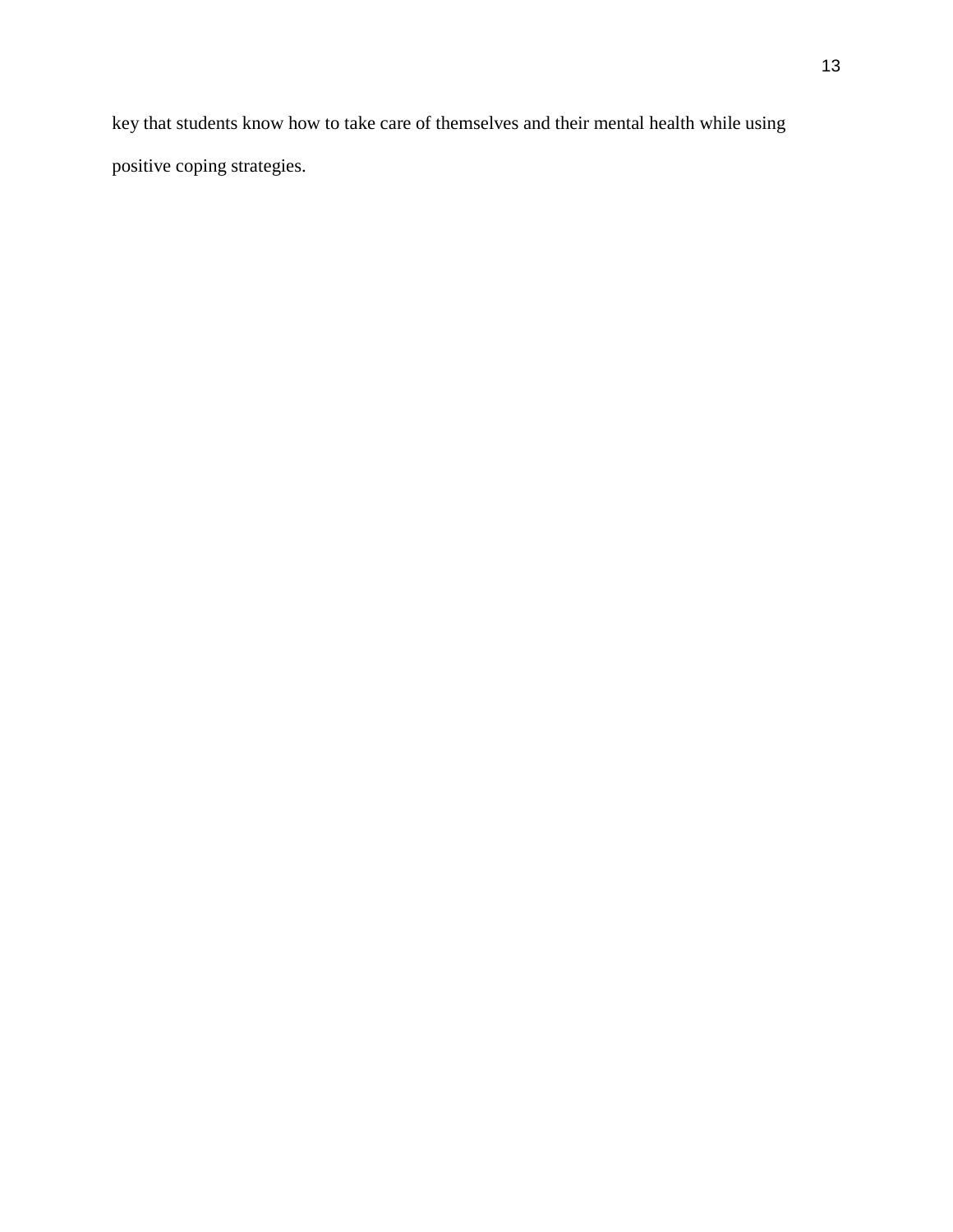key that students know how to take care of themselves and their mental health while using positive coping strategies.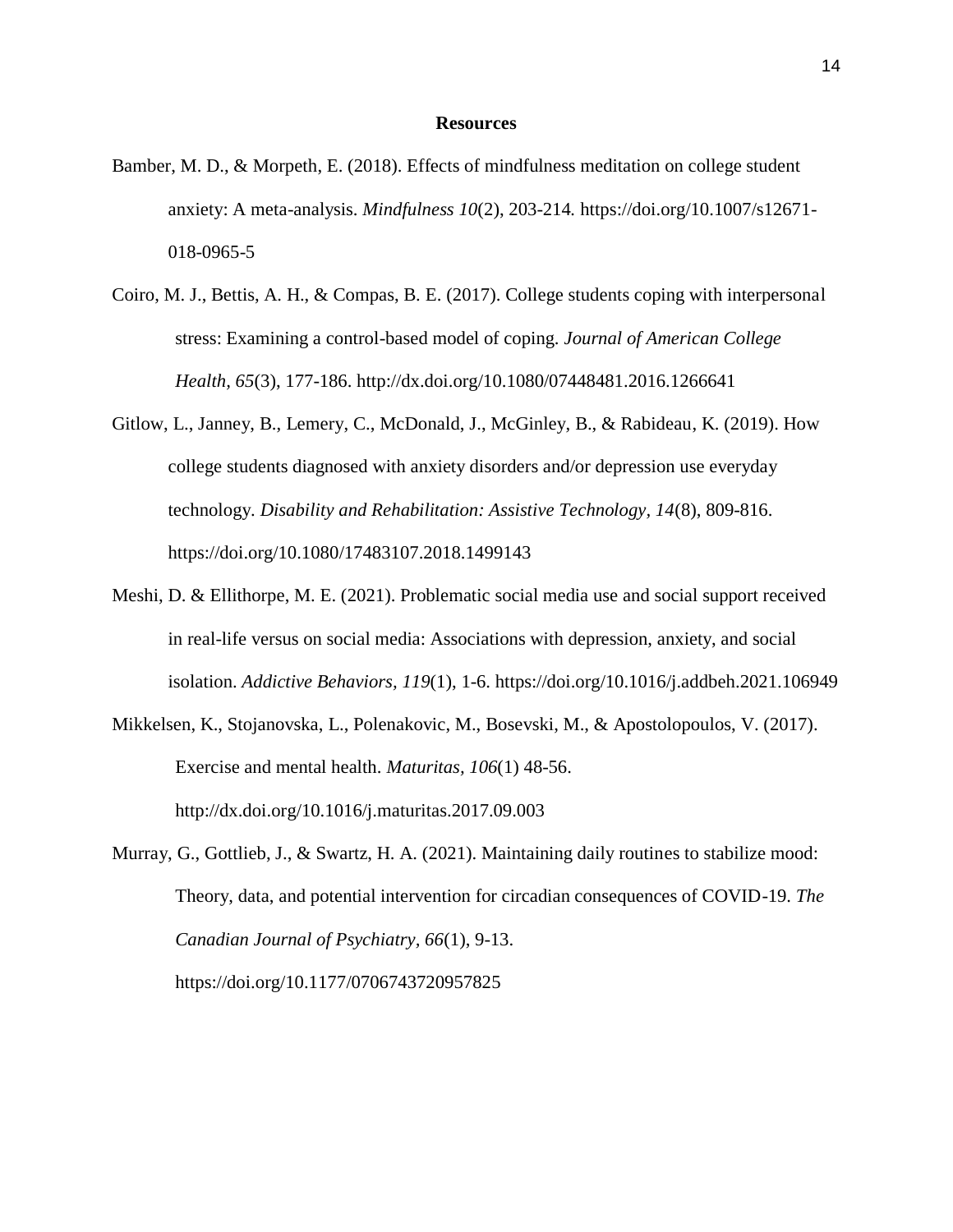#### **Resources**

- Bamber, M. D., & Morpeth, E. (2018). Effects of mindfulness meditation on college student anxiety: A meta-analysis. *Mindfulness 10*(2), 203-214*.* https://doi.org/10.1007/s12671- 018-0965-5
- Coiro, M. J., Bettis, A. H., & Compas, B. E. (2017). College students coping with interpersonal stress: Examining a control-based model of coping. *Journal of American College Health, 65*(3), 177-186. http://dx.doi.org/10.1080/07448481.2016.1266641
- Gitlow, L., Janney, B., Lemery, C., McDonald, J., McGinley, B., & Rabideau, K. (2019). How college students diagnosed with anxiety disorders and/or depression use everyday technology. *Disability and Rehabilitation: Assistive Technology, 14*(8), 809-816. https://doi.org/10.1080/17483107.2018.1499143
- Meshi, D. & Ellithorpe, M. E. (2021). Problematic social media use and social support received in real-life versus on social media: Associations with depression, anxiety, and social isolation. *Addictive Behaviors, 119*(1), 1-6. https://doi.org/10.1016/j.addbeh.2021.106949
- Mikkelsen, K., Stojanovska, L., Polenakovic, M., Bosevski, M., & Apostolopoulos, V. (2017). Exercise and mental health. *Maturitas, 106*(1) 48-56. http://dx.doi.org/10.1016/j.maturitas.2017.09.003
- Murray, G., Gottlieb, J., & Swartz, H. A. (2021). Maintaining daily routines to stabilize mood: Theory, data, and potential intervention for circadian consequences of COVID-19. *The Canadian Journal of Psychiatry, 66*(1), 9-13. https://doi.org/10.1177/0706743720957825